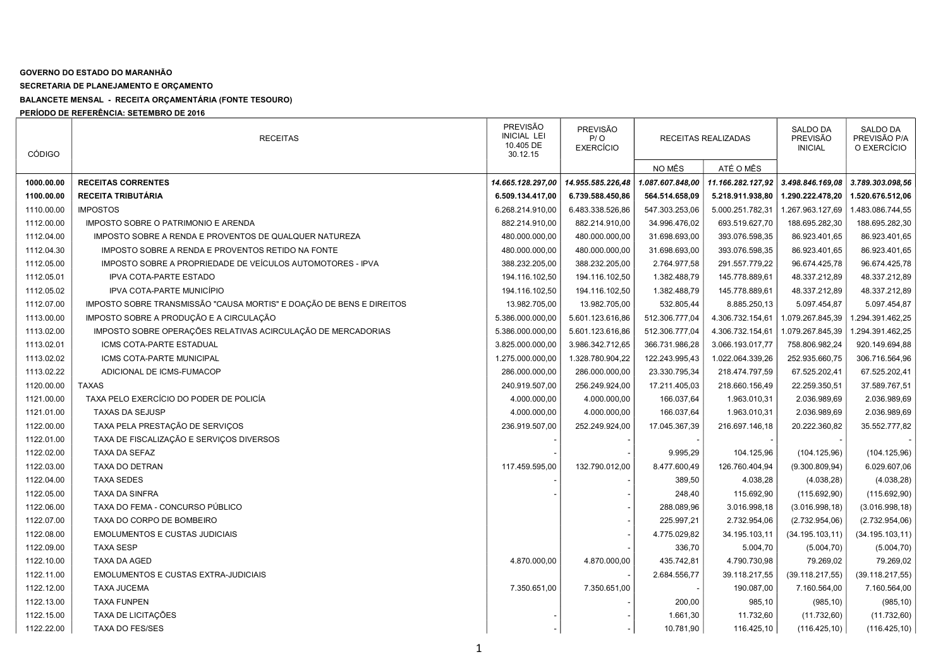## GOVERNO DO ESTADO DO MARANHÃO

SECRETARIA DE PLANEJAMENTO E ORÇAMENTO

BALANCETE MENSAL - RECEITA ORÇAMENTÁRIA (FONTE TESOURO)

PERÍODO DE REFERÊNCIA: SETEMBRO DE 2016

| <b>CÓDIGO</b> | <b>RECEITAS</b>                                                      | <b>PREVISÃO</b><br><b>INICIAL LEI</b><br>10.405 DE<br>30.12.15 | PREVISÃO<br>P/O<br><b>EXERCÍCIO</b> | RECEITAS REALIZADAS<br>NO MÊS<br>1.087.607.848,00<br>564.514.658,09<br>547.303.253,06<br>34.996.476,02<br>31.698.693,00<br>31.698.693,00<br>2.764.977,58<br>1.382.488,79<br>1.382.488,79<br>532.805,44<br>512.306.777,04<br>512.306.777,04<br>366.731.986,28<br>122.243.995,43<br>23.330.795,34<br>17.211.405,03 |                   | SALDO DA<br><b>PREVISÃO</b><br><b>INICIAL</b> |                  |
|---------------|----------------------------------------------------------------------|----------------------------------------------------------------|-------------------------------------|------------------------------------------------------------------------------------------------------------------------------------------------------------------------------------------------------------------------------------------------------------------------------------------------------------------|-------------------|-----------------------------------------------|------------------|
|               |                                                                      |                                                                |                                     |                                                                                                                                                                                                                                                                                                                  | ATÉ O MÊS         |                                               |                  |
| 1000.00.00    | <b>RECEITAS CORRENTES</b>                                            | 14.665.128.297,00                                              | 14.955.585.226,48                   |                                                                                                                                                                                                                                                                                                                  | 11.166.282.127,92 | 3.498.846.169,08                              | 3.789.303.098,56 |
| 1100.00.00    | RECEITA TRIBUTÁRIA                                                   | 6.509.134.417,00                                               | 6.739.588.450,86                    |                                                                                                                                                                                                                                                                                                                  | 5.218.911.938,80  | 1.290.222.478,20                              | 1.520.676.512,06 |
| 1110.00.00    | <b>IMPOSTOS</b>                                                      | 6.268.214.910,00                                               | 6.483.338.526,86                    |                                                                                                                                                                                                                                                                                                                  | 5.000.251.782,31  | 1.267.963.127,69                              | 1.483.086.744,55 |
| 1112.00.00    | IMPOSTO SOBRE O PATRIMONIO E ARENDA                                  | 882.214.910,00                                                 | 882.214.910,00                      |                                                                                                                                                                                                                                                                                                                  | 693.519.627,70    | 188.695.282,30                                | 188.695.282,30   |
| 1112.04.00    | IMPOSTO SOBRE A RENDA E PROVENTOS DE QUALQUER NATUREZA               | 480.000.000,00                                                 | 480.000.000,00                      |                                                                                                                                                                                                                                                                                                                  | 393.076.598,35    | 86.923.401,65                                 | 86.923.401,65    |
| 1112.04.30    | IMPOSTO SOBRE A RENDA E PROVENTOS RETIDO NA FONTE                    | 480.000.000,00                                                 | 480.000.000,00                      |                                                                                                                                                                                                                                                                                                                  | 393.076.598,35    | 86.923.401,65                                 | 86.923.401,65    |
| 1112.05.00    | IMPOSTO SOBRE A PROPRIEDADE DE VEÍCULOS AUTOMOTORES - IPVA           | 388.232.205,00                                                 | 388.232.205,00                      |                                                                                                                                                                                                                                                                                                                  | 291.557.779,22    | 96.674.425,78                                 | 96.674.425,78    |
| 1112.05.01    | <b>IPVA COTA-PARTE ESTADO</b>                                        | 194.116.102,50                                                 | 194.116.102,50                      |                                                                                                                                                                                                                                                                                                                  | 145.778.889,61    | 48.337.212,89                                 | 48.337.212,89    |
| 1112.05.02    | IPVA COTA-PARTE MUNICÍPIO                                            | 194.116.102,50                                                 | 194.116.102,50                      |                                                                                                                                                                                                                                                                                                                  | 145.778.889,61    | 48.337.212,89                                 | 48.337.212,89    |
| 1112.07.00    | IMPOSTO SOBRE TRANSMISSÃO "CAUSA MORTIS" E DOAÇÃO DE BENS E DIREITOS | 13.982.705,00                                                  | 13.982.705,00                       |                                                                                                                                                                                                                                                                                                                  | 8.885.250,13      | 5.097.454,87                                  | 5.097.454,87     |
| 1113.00.00    | IMPOSTO SOBRE A PRODUÇÃO E A CIRCULAÇÃO                              | 5.386.000.000,00                                               | 5.601.123.616,86                    |                                                                                                                                                                                                                                                                                                                  | 4.306.732.154,61  | 1.079.267.845,39                              | 1.294.391.462,25 |
| 1113.02.00    | IMPOSTO SOBRE OPERAÇÕES RELATIVAS ACIRCULAÇÃO DE MERCADORIAS         | 5.386.000.000,00                                               | 5.601.123.616,86                    |                                                                                                                                                                                                                                                                                                                  | 4.306.732.154,61  | 1.079.267.845,39                              | 1.294.391.462,25 |
| 1113.02.01    | ICMS COTA-PARTE ESTADUAL                                             | 3.825.000.000,00                                               | 3.986.342.712,65                    |                                                                                                                                                                                                                                                                                                                  | 3.066.193.017,77  | 758.806.982,24                                | 920.149.694,88   |
| 1113.02.02    | <b>ICMS COTA-PARTE MUNICIPAL</b>                                     | 1.275.000.000,00                                               | 1.328.780.904,22                    |                                                                                                                                                                                                                                                                                                                  | 1.022.064.339,26  | 252.935.660,75                                | 306.716.564,96   |
| 1113.02.22    | ADICIONAL DE ICMS-FUMACOP                                            | 286.000.000,00                                                 | 286.000.000,00                      |                                                                                                                                                                                                                                                                                                                  | 218.474.797,59    | 67.525.202,41                                 | 67.525.202,41    |
| 1120.00.00    | <b>TAXAS</b>                                                         | 240.919.507,00                                                 | 256.249.924,00                      |                                                                                                                                                                                                                                                                                                                  | 218.660.156,49    | 22.259.350,51                                 | 37.589.767,51    |
| 1121.00.00    | TAXA PELO EXERCÍCIO DO PODER DE POLICÍA                              | 4.000.000,00                                                   | 4.000.000,00                        | 166.037,64                                                                                                                                                                                                                                                                                                       | 1.963.010,31      | 2.036.989,69                                  | 2.036.989,69     |
| 1121.01.00    | <b>TAXAS DA SEJUSP</b>                                               | 4.000.000,00                                                   | 4.000.000,00                        | 166.037,64                                                                                                                                                                                                                                                                                                       | 1.963.010,31      | 2.036.989,69                                  | 2.036.989,69     |
| 1122.00.00    | TAXA PELA PRESTAÇÃO DE SERVIÇOS                                      | 236.919.507,00                                                 | 252.249.924,00                      | 17.045.367,39                                                                                                                                                                                                                                                                                                    | 216.697.146,18    | 20.222.360,82                                 | 35.552.777,82    |
| 1122.01.00    | TAXA DE FISCALIZAÇÃO E SERVIÇOS DIVERSOS                             |                                                                |                                     |                                                                                                                                                                                                                                                                                                                  |                   |                                               |                  |
| 1122.02.00    | TAXA DA SEFAZ                                                        |                                                                |                                     | 9.995,29                                                                                                                                                                                                                                                                                                         | 104.125,96        | (104.125,96)                                  | (104.125,96)     |
| 1122.03.00    | <b>TAXA DO DETRAN</b>                                                | 117.459.595,00                                                 | 132.790.012,00                      | 8.477.600,49                                                                                                                                                                                                                                                                                                     | 126.760.404,94    | (9.300.809, 94)                               | 6.029.607,06     |
| 1122.04.00    | <b>TAXA SEDES</b>                                                    |                                                                |                                     | 389,50                                                                                                                                                                                                                                                                                                           | 4.038,28          | (4.038, 28)                                   | (4.038, 28)      |
| 1122.05.00    | TAXA DA SINFRA                                                       |                                                                |                                     | 248,40                                                                                                                                                                                                                                                                                                           | 115.692,90        | (115.692,90)                                  | (115.692,90)     |
| 1122.06.00    | TAXA DO FEMA - CONCURSO PÚBLICO                                      |                                                                |                                     | 288.089,96                                                                                                                                                                                                                                                                                                       | 3.016.998,18      | (3.016.998, 18)                               | (3.016.998, 18)  |
| 1122.07.00    | TAXA DO CORPO DE BOMBEIRO                                            |                                                                |                                     | 225.997,21                                                                                                                                                                                                                                                                                                       | 2.732.954,06      | (2.732.954,06)                                | (2.732.954,06)   |
| 1122.08.00    | <b>EMOLUMENTOS E CUSTAS JUDICIAIS</b>                                |                                                                |                                     | 4.775.029,82                                                                                                                                                                                                                                                                                                     | 34.195.103,11     | (34.195.103, 11)                              | (34.195.103, 11) |
| 1122.09.00    | <b>TAXA SESP</b>                                                     |                                                                |                                     | 336,70                                                                                                                                                                                                                                                                                                           | 5.004,70          | (5.004, 70)                                   | (5.004, 70)      |
| 1122.10.00    | <b>TAXA DA AGED</b>                                                  | 4.870.000,00                                                   | 4.870.000,00                        | 435.742,81                                                                                                                                                                                                                                                                                                       | 4.790.730,98      | 79.269,02                                     | 79.269,02        |
| 1122.11.00    | <b>EMOLUMENTOS E CUSTAS EXTRA-JUDICIAIS</b>                          |                                                                |                                     | 2.684.556,77                                                                                                                                                                                                                                                                                                     | 39.118.217,55     | (39.118.217, 55)                              | (39.118.217, 55) |
| 1122.12.00    | <b>TAXA JUCEMA</b>                                                   | 7.350.651,00                                                   | 7.350.651,00                        |                                                                                                                                                                                                                                                                                                                  | 190.087,00        | 7.160.564,00                                  | 7.160.564,00     |
| 1122.13.00    | <b>TAXA FUNPEN</b>                                                   |                                                                |                                     | 200,00                                                                                                                                                                                                                                                                                                           | 985,10            | (985, 10)                                     | (985, 10)        |
| 1122.15.00    | TAXA DE LICITAÇÕES                                                   |                                                                |                                     | 1.661,30                                                                                                                                                                                                                                                                                                         | 11.732,60         | (11.732,60)                                   | (11.732,60)      |
| 1122.22.00    | <b>TAXA DO FES/SES</b>                                               |                                                                |                                     | 10.781,90                                                                                                                                                                                                                                                                                                        | 116.425,10        | (116.425, 10)                                 | (116.425, 10)    |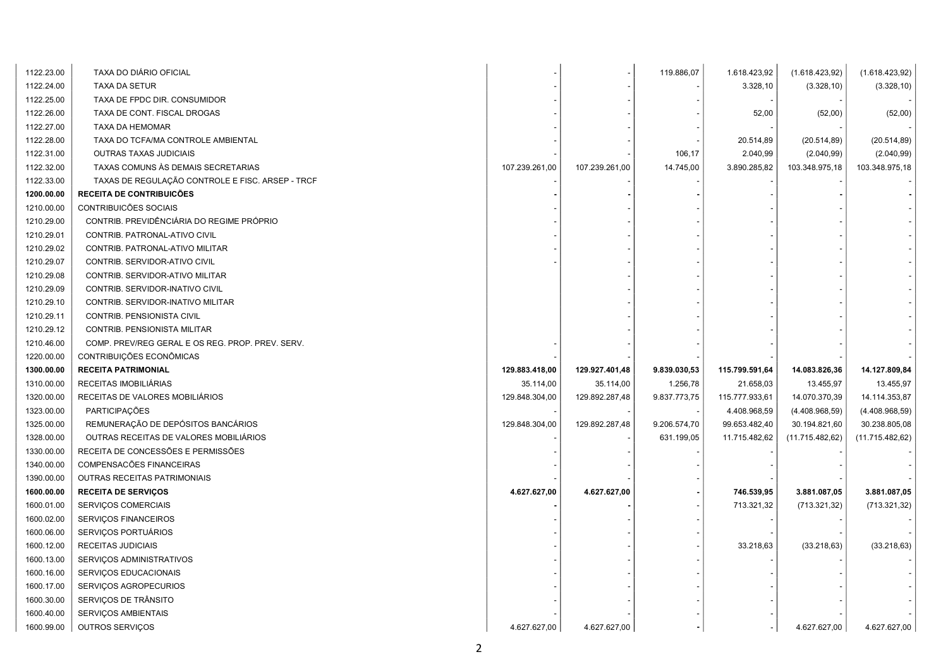| 1122.23.00 | TAXA DO DIÁRIO OFICIAL                           |                |                | 119.886,07   | 1.618.423,92   | (1.618.423,92)   | (1.618.423, 92)  |
|------------|--------------------------------------------------|----------------|----------------|--------------|----------------|------------------|------------------|
| 1122.24.00 | TAXA DA SETUR                                    |                |                |              | 3.328,10       | (3.328, 10)      | (3.328, 10)      |
| 1122.25.00 | TAXA DE FPDC DIR. CONSUMIDOR                     |                |                |              |                |                  |                  |
| 1122.26.00 | TAXA DE CONT. FISCAL DROGAS                      |                |                |              | 52,00          | (52,00)          | (52,00)          |
| 1122.27.00 | TAXA DA HEMOMAR                                  |                |                |              |                |                  |                  |
| 1122.28.00 | TAXA DO TCFA/MA CONTROLE AMBIENTAL               |                |                |              | 20.514,89      | (20.514, 89)     | (20.514, 89)     |
| 1122.31.00 | OUTRAS TAXAS JUDICIAIS                           |                |                | 106,17       | 2.040,99       | (2.040, 99)      | (2.040, 99)      |
| 1122.32.00 | TAXAS COMUNS ÀS DEMAIS SECRETARIAS               | 107.239.261,00 | 107.239.261,00 | 14.745,00    | 3.890.285,82   | 103.348.975,18   | 103.348.975,18   |
| 1122.33.00 | TAXAS DE REGULAÇÃO CONTROLE E FISC. ARSEP - TRCF |                |                |              |                |                  |                  |
| 1200.00.00 | RECEITA DE CONTRIBUICÕES                         |                |                |              |                |                  |                  |
| 1210.00.00 | CONTRIBUICÕES SOCIAIS                            |                |                |              |                |                  |                  |
| 1210.29.00 | CONTRIB. PREVIDÊNCIÁRIA DO REGIME PRÓPRIO        |                |                |              |                |                  |                  |
| 1210.29.01 | CONTRIB. PATRONAL-ATIVO CIVIL                    |                |                |              |                |                  |                  |
| 1210.29.02 | CONTRIB. PATRONAL-ATIVO MILITAR                  |                |                |              |                |                  |                  |
| 1210.29.07 | CONTRIB. SERVIDOR-ATIVO CIVIL                    |                |                |              |                |                  |                  |
| 1210.29.08 | CONTRIB. SERVIDOR-ATIVO MILITAR                  |                |                |              |                |                  |                  |
| 1210.29.09 | CONTRIB. SERVIDOR-INATIVO CIVIL                  |                |                |              |                |                  |                  |
| 1210.29.10 | CONTRIB. SERVIDOR-INATIVO MILITAR                |                |                |              |                |                  |                  |
| 1210.29.11 | CONTRIB. PENSIONISTA CIVIL                       |                |                |              |                |                  |                  |
| 1210.29.12 | CONTRIB. PENSIONISTA MILITAR                     |                |                |              |                |                  |                  |
| 1210.46.00 | COMP. PREV/REG GERAL E OS REG. PROP. PREV. SERV. |                |                |              |                |                  |                  |
|            |                                                  |                |                |              |                |                  |                  |
| 1220.00.00 | CONTRIBUIÇÕES ECONÔMICAS                         |                |                |              |                |                  |                  |
| 1300.00.00 | <b>RECEITA PATRIMONIAL</b>                       | 129.883.418,00 | 129.927.401,48 | 9.839.030,53 | 115.799.591,64 | 14.083.826,36    | 14.127.809,84    |
| 1310.00.00 | RECEITAS IMOBILIÁRIAS                            | 35.114,00      | 35.114,00      | 1.256,78     | 21.658,03      | 13.455,97        | 13.455,97        |
| 1320.00.00 | RECEITAS DE VALORES MOBILIARIOS                  | 129.848.304,00 | 129.892.287,48 | 9.837.773,75 | 115.777.933,61 | 14.070.370,39    | 14.114.353,87    |
| 1323.00.00 | <b>PARTICIPAÇÕES</b>                             |                |                |              | 4.408.968,59   | (4.408.968,59)   | (4.408.968,59)   |
| 1325.00.00 | REMUNERAÇÃO DE DEPÓSITOS BANCÁRIOS               | 129.848.304,00 | 129.892.287,48 | 9.206.574,70 | 99.653.482,40  | 30.194.821,60    | 30.238.805,08    |
| 1328.00.00 | OUTRAS RECEITAS DE VALORES MOBILIÁRIOS           |                |                | 631.199,05   | 11.715.482,62  | (11.715.482, 62) | (11.715.482, 62) |
| 1330.00.00 | RECEITA DE CONCESSÕES E PERMISSÕES               |                |                |              |                |                  |                  |
| 1340.00.00 | COMPENSACÕES FINANCEIRAS                         |                |                |              |                |                  |                  |
| 1390.00.00 | <b>OUTRAS RECEITAS PATRIMONIAIS</b>              |                |                |              |                |                  |                  |
| 1600.00.00 | <b>RECEITA DE SERVIÇOS</b>                       | 4.627.627,00   | 4.627.627,00   |              | 746.539,95     | 3.881.087,05     | 3.881.087,05     |
| 1600.01.00 | SERVIÇOS COMERCIAIS                              |                |                |              | 713.321,32     | (713.321, 32)    | (713.321, 32)    |
| 1600.02.00 | SERVIÇOS FINANCEIROS                             |                |                |              |                |                  |                  |
| 1600.06.00 | SERVIÇOS PORTUÁRIOS                              |                |                |              |                |                  |                  |
| 1600.12.00 | RECEITAS JUDICIAIS                               |                |                |              | 33.218,63      | (33.218, 63)     | (33.218, 63)     |
| 1600.13.00 | SERVIÇOS ADMINISTRATIVOS                         |                |                |              |                |                  |                  |
| 1600.16.00 | SERVIÇOS EDUCACIONAIS                            |                |                |              |                |                  |                  |
| 1600.17.00 | SERVIÇOS AGROPECURIOS                            |                |                |              |                |                  |                  |
| 1600.30.00 | SERVIÇOS DE TRÂNSITO                             |                |                |              |                |                  |                  |
| 1600.40.00 | SERVIÇOS AMBIENTAIS                              |                |                |              |                |                  |                  |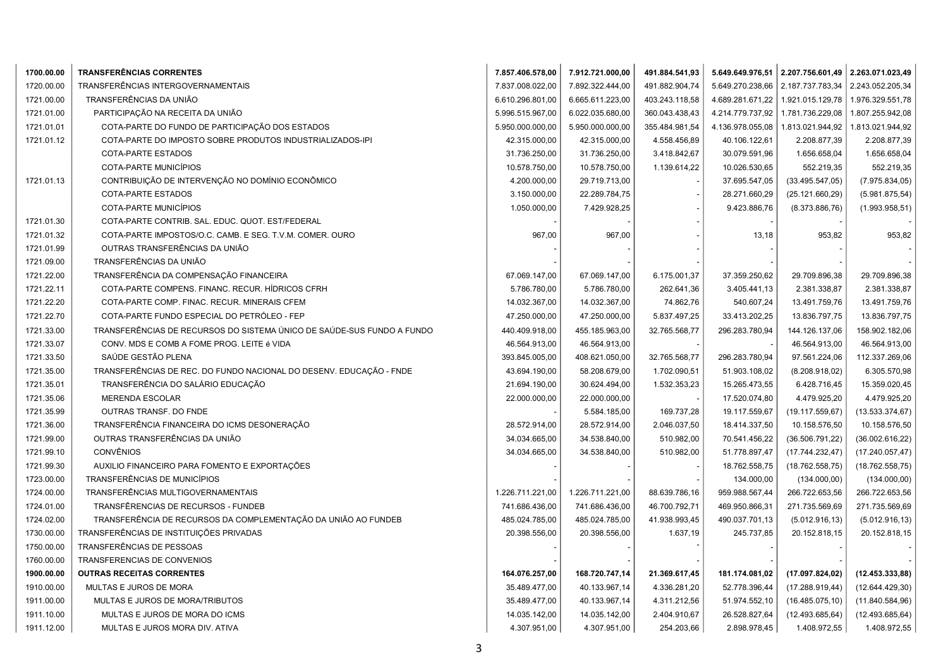| 1700.00.00 | <b>TRANSFERÊNCIAS CORRENTES</b>                                        | 7.857.406.578,00 | 7.912.721.000,00 | 491.884.541,93 |                  | 5.649.649.976,51 2.207.756.601,49 2.263.071.023,49 |                  |
|------------|------------------------------------------------------------------------|------------------|------------------|----------------|------------------|----------------------------------------------------|------------------|
| 1720.00.00 | TRANSFERÊNCIAS INTERGOVERNAMENTAIS                                     | 7.837.008.022,00 | 7.892.322.444,00 | 491.882.904,74 | 5.649.270.238,66 | 2.187.737.783,34                                   | 2.243.052.205,34 |
| 1721.00.00 | TRANSFERÊNCIAS DA UNIÃO                                                | 6.610.296.801,00 | 6.665.611.223,00 | 403.243.118,58 | 4.689.281.671,22 | 1.921.015.129,78                                   | 1.976.329.551,78 |
| 1721.01.00 | PARTICIPAÇÃO NA RECEITA DA UNIÃO                                       | 5.996.515.967,00 | 6.022.035.680,00 | 360.043.438,43 | 4.214.779.737,92 | 1.781.736.229,08                                   | 1.807.255.942,08 |
| 1721.01.01 | COTA-PARTE DO FUNDO DE PARTICIPAÇÃO DOS ESTADOS                        | 5.950.000.000,00 | 5.950.000.000,00 | 355.484.981,54 | 4.136.978.055,08 | 1.813.021.944,92                                   | 1.813.021.944,92 |
| 1721.01.12 | COTA-PARTE DO IMPOSTO SOBRE PRODUTOS INDUSTRIALIZADOS-IPI              | 42.315.000,00    | 42.315.000,00    | 4.558.456,89   | 40.106.122,61    | 2.208.877,39                                       | 2.208.877,39     |
|            | COTA-PARTE ESTADOS                                                     | 31.736.250,00    | 31.736.250,00    | 3.418.842,67   | 30.079.591,96    | 1.656.658,04                                       | 1.656.658,04     |
|            | COTA-PARTE MUNICÍPIOS                                                  | 10.578.750,00    | 10.578.750,00    | 1.139.614,22   | 10.026.530,65    | 552.219,35                                         | 552.219,35       |
| 1721.01.13 | CONTRIBUIÇÃO DE INTERVENÇÃO NO DOMÍNIO ECONÔMICO                       | 4.200.000,00     | 29.719.713,00    |                | 37.695.547,05    | (33.495.547,05)                                    | (7.975.834,05)   |
|            | COTA-PARTE ESTADOS                                                     | 3.150.000,00     | 22.289.784,75    |                | 28.271.660,29    | (25.121.660, 29)                                   | (5.981.875, 54)  |
|            | COTA-PARTE MUNICÍPIOS                                                  | 1.050.000,00     | 7.429.928,25     |                | 9.423.886,76     | (8.373.886, 76)                                    | (1.993.958, 51)  |
| 1721.01.30 | COTA-PARTE CONTRIB. SAL. EDUC. QUOT. EST/FEDERAL                       |                  |                  |                |                  |                                                    |                  |
| 1721.01.32 | COTA-PARTE IMPOSTOS/O.C. CAMB. E SEG. T.V.M. COMER. OURO               | 967,00           | 967,00           |                | 13,18            | 953,82                                             | 953,82           |
| 1721.01.99 | OUTRAS TRANSFERÊNCIAS DA UNIÃO                                         |                  |                  |                |                  |                                                    |                  |
| 1721.09.00 | TRANSFERÊNCIAS DA UNIÃO                                                |                  |                  |                |                  |                                                    |                  |
| 1721.22.00 | TRANSFERÊNCIA DA COMPENSAÇÃO FINANCEIRA                                | 67.069.147,00    | 67.069.147,00    | 6.175.001,37   | 37.359.250,62    | 29.709.896,38                                      | 29.709.896,38    |
| 1721.22.11 | COTA-PARTE COMPENS. FINANC. RECUR. HÍDRICOS CFRH                       | 5.786.780,00     | 5.786.780,00     | 262.641,36     | 3.405.441,13     | 2.381.338,87                                       | 2.381.338,87     |
| 1721.22.20 | COTA-PARTE COMP. FINAC. RECUR. MINERAIS CFEM                           | 14.032.367,00    | 14.032.367,00    | 74.862,76      | 540.607,24       | 13.491.759,76                                      | 13.491.759,76    |
| 1721.22.70 | COTA-PARTE FUNDO ESPECIAL DO PETRÓLEO - FEP                            | 47.250.000,00    | 47.250.000,00    | 5.837.497,25   | 33.413.202,25    | 13.836.797,75                                      | 13.836.797,75    |
| 1721.33.00 | TRANSFERÊNCIAS DE RECURSOS DO SISTEMA ÚNICO DE SAÚDE-SUS FUNDO A FUNDO | 440.409.918,00   | 455.185.963,00   | 32.765.568,77  | 296.283.780,94   | 144.126.137,06                                     | 158.902.182,06   |
| 1721.33.07 | CONV. MDS E COMB A FOME PROG. LEITE é VIDA                             | 46.564.913,00    | 46.564.913,00    |                |                  | 46.564.913,00                                      | 46.564.913,00    |
| 1721.33.50 | SAÚDE GESTÃO PLENA                                                     | 393.845.005,00   | 408.621.050,00   | 32.765.568,77  | 296.283.780,94   | 97.561.224,06                                      | 112.337.269,06   |
| 1721.35.00 | TRANSFERÊNCIAS DE REC. DO FUNDO NACIONAL DO DESENV. EDUCAÇÃO - FNDE    | 43.694.190,00    | 58.208.679,00    | 1.702.090,51   | 51.903.108,02    | (8.208.918,02)                                     | 6.305.570,98     |
| 1721.35.01 | TRANSFERÊNCIA DO SALÁRIO EDUCAÇÃO                                      | 21.694.190,00    | 30.624.494,00    | 1.532.353,23   | 15.265.473,55    | 6.428.716,45                                       | 15.359.020,45    |
| 1721.35.06 | <b>MERENDA ESCOLAR</b>                                                 | 22.000.000,00    | 22.000.000,00    |                | 17.520.074,80    | 4.479.925,20                                       | 4.479.925,20     |
| 1721.35.99 | OUTRAS TRANSF. DO FNDE                                                 |                  | 5.584.185,00     | 169.737,28     | 19.117.559,67    | (19.117.559, 67)                                   | (13.533.374, 67) |
| 1721.36.00 | TRANSFERÊNCIA FINANCEIRA DO ICMS DESONERAÇÃO                           | 28.572.914,00    | 28.572.914,00    | 2.046.037,50   | 18.414.337,50    | 10.158.576,50                                      | 10.158.576,50    |
| 1721.99.00 | OUTRAS TRANSFERÊNCIAS DA UNIÃO                                         | 34.034.665,00    | 34.538.840,00    | 510.982,00     | 70.541.456,22    | (36.506.791, 22)                                   | (36.002.616, 22) |
| 1721.99.10 | <b>CONVÊNIOS</b>                                                       | 34.034.665,00    | 34.538.840,00    | 510.982,00     | 51.778.897,47    | (17.744.232, 47)                                   | (17.240.057, 47) |
| 1721.99.30 | AUXILIO FINANCEIRO PARA FOMENTO E EXPORTAÇÕES                          |                  |                  |                | 18.762.558,75    | (18.762.558,75)                                    | (18.762.558,75)  |
| 1723.00.00 | TRANSFERÊNCIAS DE MUNICÍPIOS                                           |                  |                  |                | 134.000,00       | (134.000,00)                                       | (134.000,00)     |
| 1724.00.00 | TRANSFERÊNCIAS MULTIGOVERNAMENTAIS                                     | 1.226.711.221,00 | 1.226.711.221,00 | 88.639.786,16  | 959.988.567,44   | 266.722.653,56                                     | 266.722.653,56   |
| 1724.01.00 | TRANSFÊRENCIAS DE RECURSOS - FUNDEB                                    | 741.686.436,00   | 741.686.436,00   | 46.700.792,71  | 469.950.866,31   | 271.735.569,69                                     | 271.735.569,69   |
| 1724.02.00 | TRANSFERÊNCIA DE RECURSOS DA COMPLEMENTAÇÃO DA UNIÃO AO FUNDEB         | 485.024.785,00   | 485.024.785,00   | 41.938.993,45  | 490.037.701,13   | (5.012.916, 13)                                    | (5.012.916, 13)  |
| 1730.00.00 | TRANSFERÊNCIAS DE INSTITUIÇÕES PRIVADAS                                | 20.398.556,00    | 20.398.556,00    | 1.637,19       | 245.737,85       | 20.152.818,15                                      | 20.152.818,15    |
| 1750.00.00 | TRANSFERÊNCIAS DE PESSOAS                                              |                  |                  |                |                  |                                                    |                  |
| 1760.00.00 | TRANSFERENCIAS DE CONVENIOS                                            |                  |                  |                |                  |                                                    |                  |
| 1900.00.00 | <b>OUTRAS RECEITAS CORRENTES</b>                                       | 164.076.257,00   | 168.720.747,14   | 21.369.617,45  | 181.174.081,02   | (17.097.824, 02)                                   | (12.453.333,88)  |
| 1910.00.00 | MULTAS E JUROS DE MORA                                                 | 35.489.477,00    | 40.133.967,14    | 4.336.281,20   | 52.778.396,44    | (17.288.919,44)                                    | (12.644.429,30)  |
| 1911.00.00 | MULTAS E JUROS DE MORA/TRIBUTOS                                        | 35.489.477,00    | 40.133.967,14    | 4.311.212,56   | 51.974.552,10    | (16.485.075, 10)                                   | (11.840.584,96)  |
| 1911.10.00 | MULTAS E JUROS DE MORA DO ICMS                                         | 14.035.142,00    | 14.035.142,00    | 2.404.910,67   | 26.528.827,64    | (12.493.685, 64)                                   | (12.493.685, 64) |
| 1911.12.00 | MULTAS E JUROS MORA DIV. ATIVA                                         | 4.307.951,00     | 4.307.951,00     | 254.203,66     | 2.898.978,45     | 1.408.972,55                                       | 1.408.972,55     |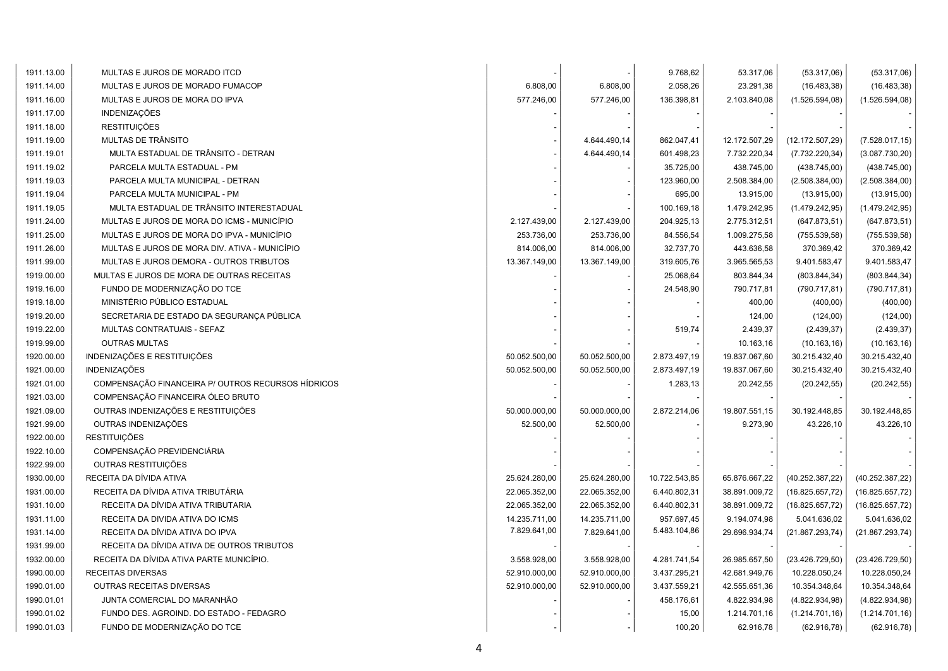| 1911.13.00 | MULTAS E JUROS DE MORADO ITCD                      |               |               | 9.768,62      | 53.317,06     | (53.317,06)      | (53.317,06)      |
|------------|----------------------------------------------------|---------------|---------------|---------------|---------------|------------------|------------------|
| 1911.14.00 | MULTAS E JUROS DE MORADO FUMACOP                   | 6.808,00      | 6.808,00      | 2.058,26      | 23.291,38     | (16.483, 38)     | (16.483, 38)     |
| 1911.16.00 | MULTAS E JUROS DE MORA DO IPVA                     | 577.246,00    | 577.246,00    | 136.398,81    | 2.103.840,08  | (1.526.594,08)   | (1.526.594,08)   |
| 1911.17.00 | <b>INDENIZAÇÕES</b>                                |               |               |               |               |                  |                  |
| 1911.18.00 | <b>RESTITUIÇÕES</b>                                |               |               |               |               |                  |                  |
| 1911.19.00 | MULTAS DE TRÂNSITO                                 |               | 4.644.490,14  | 862.047,41    | 12.172.507,29 | (12.172.507, 29) | (7.528.017, 15)  |
| 1911.19.01 | MULTA ESTADUAL DE TRÂNSITO - DETRAN                |               | 4.644.490,14  | 601.498,23    | 7.732.220,34  | (7.732.220, 34)  | (3.087.730, 20)  |
| 1911.19.02 | PARCELA MULTA ESTADUAL - PM                        |               |               | 35.725,00     | 438.745,00    | (438.745,00)     | (438.745,00)     |
| 1911.19.03 | PARCELA MULTA MUNICIPAL - DETRAN                   |               |               | 123.960,00    | 2.508.384,00  | (2.508.384,00)   | (2.508.384,00)   |
| 1911.19.04 | PARCELA MULTA MUNICIPAL - PM                       |               |               | 695,00        | 13.915,00     | (13.915,00)      | (13.915,00)      |
| 1911.19.05 | MULTA ESTADUAL DE TRÂNSITO INTERESTADUAL           |               |               | 100.169,18    | 1.479.242,95  | (1.479.242,95)   | (1.479.242.95)   |
| 1911.24.00 | MULTAS E JUROS DE MORA DO ICMS - MUNICÍPIO         | 2.127.439,00  | 2.127.439,00  | 204.925,13    | 2.775.312,51  | (647.873, 51)    | (647.873, 51)    |
| 1911.25.00 | MULTAS E JUROS DE MORA DO IPVA - MUNICÍPIO         | 253.736,00    | 253.736,00    | 84.556,54     | 1.009.275,58  | (755.539, 58)    | (755.539, 58)    |
| 1911.26.00 | MULTAS E JUROS DE MORA DIV. ATIVA - MUNICÍPIO      | 814.006,00    | 814.006,00    | 32.737,70     | 443.636,58    | 370.369,42       | 370.369,42       |
| 1911.99.00 | MULTAS E JUROS DEMORA - OUTROS TRIBUTOS            | 13.367.149,00 | 13.367.149,00 | 319.605,76    | 3.965.565,53  | 9.401.583,47     | 9.401.583,47     |
| 1919.00.00 | MULTAS E JUROS DE MORA DE OUTRAS RECEITAS          |               |               | 25.068,64     | 803.844,34    | (803.844, 34)    | (803.844, 34)    |
| 1919.16.00 | FUNDO DE MODERNIZAÇÃO DO TCE                       |               |               | 24.548,90     | 790.717,81    | (790.717, 81)    | (790.717, 81)    |
| 1919.18.00 | MINISTÉRIO PÚBLICO ESTADUAL                        |               |               |               | 400,00        | (400,00)         | (400,00)         |
| 1919.20.00 | SECRETARIA DE ESTADO DA SEGURANÇA PÚBLICA          |               |               |               | 124,00        | (124,00)         | (124,00)         |
| 1919.22.00 | MULTAS CONTRATUAIS - SEFAZ                         |               |               | 519,74        | 2.439,37      | (2.439, 37)      | (2.439, 37)      |
| 1919.99.00 | <b>OUTRAS MULTAS</b>                               |               |               |               | 10.163,16     | (10.163, 16)     | (10.163, 16)     |
| 1920.00.00 | INDENIZAÇÕES E RESTITUIÇÕES                        | 50.052.500,00 | 50.052.500,00 | 2.873.497,19  | 19.837.067,60 | 30.215.432,40    | 30.215.432,40    |
| 1921.00.00 | <b>INDENIZAÇÕES</b>                                | 50.052.500,00 | 50.052.500,00 | 2.873.497,19  | 19.837.067,60 | 30.215.432,40    | 30.215.432,40    |
| 1921.01.00 | COMPENSAÇÃO FINANCEIRA P/ OUTROS RECURSOS HÍDRICOS |               |               | 1.283,13      | 20.242,55     | (20.242, 55)     | (20.242, 55)     |
| 1921.03.00 | COMPENSAÇÃO FINANCEIRA ÓLEO BRUTO                  |               |               |               |               |                  |                  |
| 1921.09.00 | OUTRAS INDENIZAÇÕES E RESTITUIÇÕES                 | 50.000.000,00 | 50.000.000,00 | 2.872.214,06  | 19.807.551,15 | 30.192.448,85    | 30.192.448,85    |
| 1921.99.00 | OUTRAS INDENIZAÇÕES                                | 52.500,00     | 52.500,00     |               | 9.273,90      | 43.226,10        | 43.226,10        |
| 1922.00.00 | <b>RESTITUIÇÕES</b>                                |               |               |               |               |                  |                  |
| 1922.10.00 | COMPENSAÇÃO PREVIDENCIÁRIA                         |               |               |               |               |                  |                  |
| 1922.99.00 | OUTRAS RESTITUIÇÕES                                |               |               |               |               |                  |                  |
| 1930.00.00 | RECEITA DA DÍVIDA ATIVA                            | 25.624.280,00 | 25.624.280,00 | 10.722.543,85 | 65.876.667,22 | (40.252.387, 22) | (40.252.387, 22) |
| 1931.00.00 | RECEITA DA DÍVIDA ATIVA TRIBUTÁRIA                 | 22.065.352,00 | 22.065.352,00 | 6.440.802,31  | 38.891.009,72 | (16.825.657,72)  | (16.825.657,72)  |
| 1931.10.00 | RECEITA DA DÍVIDA ATIVA TRIBUTARIA                 | 22.065.352,00 | 22.065.352,00 | 6.440.802,31  | 38.891.009,72 | (16.825.657,72)  | (16.825.657,72)  |
| 1931.11.00 | RECEITA DA DIVIDA ATIVA DO ICMS                    | 14.235.711,00 | 14.235.711,00 | 957.697,45    | 9.194.074,98  | 5.041.636,02     | 5.041.636,02     |
| 1931.14.00 | RECEITA DA DÍVIDA ATIVA DO IPVA                    | 7.829.641,00  | 7.829.641,00  | 5.483.104,86  | 29.696.934,74 | (21.867.293,74)  | (21.867.293,74)  |
| 1931.99.00 | RECEITA DA DÍVIDA ATIVA DE OUTROS TRIBUTOS         |               |               |               |               |                  |                  |
| 1932.00.00 | RECEITA DA DÍVIDA ATIVA PARTE MUNICÍPIO.           | 3.558.928,00  | 3.558.928,00  | 4.281.741,54  | 26.985.657,50 | (23.426.729, 50) | (23.426.729, 50) |
| 1990.00.00 | RECEITAS DIVERSAS                                  | 52.910.000,00 | 52.910.000,00 | 3.437.295,21  | 42.681.949,76 | 10.228.050,24    | 10.228.050,24    |
| 1990.01.00 | OUTRAS RECEITAS DIVERSAS                           | 52.910.000,00 | 52.910.000,00 | 3.437.559,21  | 42.555.651,36 | 10.354.348,64    | 10.354.348,64    |
| 1990.01.01 | JUNTA COMERCIAL DO MARANHÃO                        |               |               | 458.176,61    | 4.822.934,98  | (4.822.934,98)   | (4.822.934,98)   |
| 1990.01.02 | FUNDO DES. AGROIND. DO ESTADO - FEDAGRO            |               |               | 15,00         | 1.214.701,16  | (1.214.701, 16)  | (1.214.701, 16)  |
| 1990.01.03 | FUNDO DE MODERNIZAÇÃO DO TCE                       |               |               | 100,20        | 62.916,78     | (62.916, 78)     | (62.916, 78)     |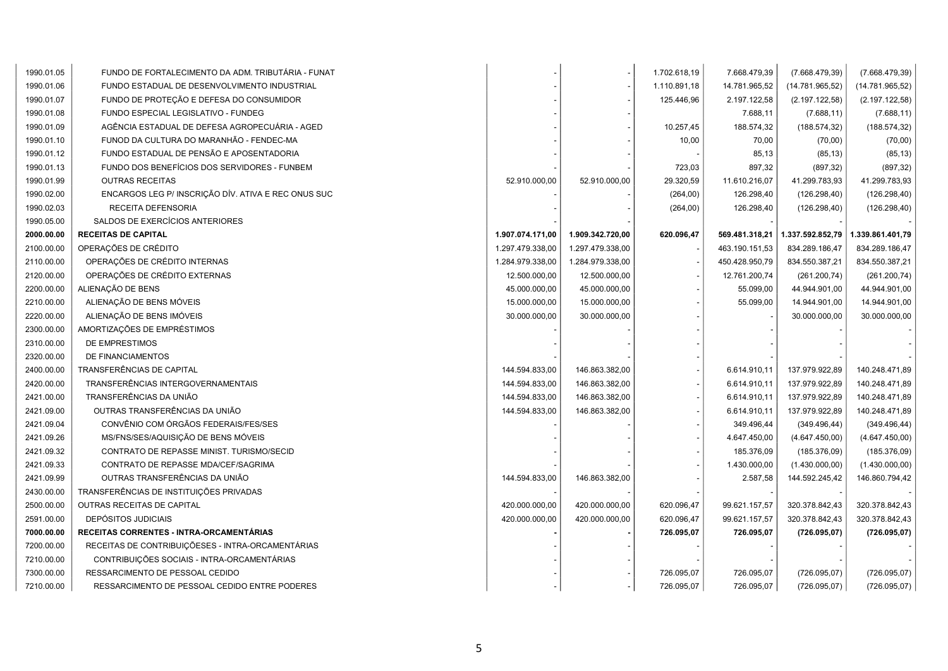| 1990.01.05 | FUNDO DE FORTALECIMENTO DA ADM. TRIBUTÁRIA - FUNAT  |                  |                  | 1.702.618,19 | 7.668.479,39   | (7.668.479, 39)  | (7.668.479, 39)  |
|------------|-----------------------------------------------------|------------------|------------------|--------------|----------------|------------------|------------------|
| 1990.01.06 | FUNDO ESTADUAL DE DESENVOLVIMENTO INDUSTRIAL        |                  |                  | 1.110.891,18 | 14.781.965,52  | (14.781.965,52)  | (14.781.965, 52) |
| 1990.01.07 | FUNDO DE PROTEÇÃO E DEFESA DO CONSUMIDOR            |                  |                  | 125.446,96   | 2.197.122,58   | (2.197.122,58)   | (2.197.122,58)   |
| 1990.01.08 | FUNDO ESPECIAL LEGISLATIVO - FUNDEG                 |                  |                  |              | 7.688,11       | (7.688, 11)      | (7.688, 11)      |
| 1990.01.09 | AGÊNCIA ESTADUAL DE DEFESA AGROPECUÁRIA - AGED      |                  |                  | 10.257,45    | 188.574,32     | (188.574, 32)    | (188.574, 32)    |
| 1990.01.10 | FUNOD DA CULTURA DO MARANHÃO - FENDEC-MA            |                  |                  | 10,00        | 70,00          | (70,00)          | (70,00)          |
| 1990.01.12 | FUNDO ESTADUAL DE PENSÃO E APOSENTADORIA            |                  |                  |              | 85,13          | (85, 13)         | (85, 13)         |
| 1990.01.13 | FUNDO DOS BENEFÍCIOS DOS SERVIDORES - FUNBEM        |                  |                  | 723,03       | 897,32         | (897, 32)        | (897, 32)        |
| 1990.01.99 | <b>OUTRAS RECEITAS</b>                              | 52.910.000,00    | 52.910.000,00    | 29.320,59    | 11.610.216,07  | 41.299.783,93    | 41.299.783,93    |
| 1990.02.00 | ENCARGOS LEG P/ INSCRIÇÃO DÍV. ATIVA E REC ONUS SUC |                  |                  | (264,00)     | 126.298,40     | (126.298, 40)    | (126.298, 40)    |
| 1990.02.03 | RECEITA DEFENSORIA                                  |                  |                  | (264,00)     | 126.298,40     | (126.298, 40)    | (126.298, 40)    |
| 1990.05.00 | SALDOS DE EXERCÍCIOS ANTERIORES                     |                  |                  |              |                |                  |                  |
| 2000.00.00 | <b>RECEITAS DE CAPITAL</b>                          | 1.907.074.171,00 | 1.909.342.720,00 | 620.096,47   | 569.481.318,21 | 1.337.592.852,79 | 1.339.861.401,79 |
| 2100.00.00 | OPERAÇÕES DE CRÉDITO                                | 1.297.479.338,00 | 1.297.479.338,00 |              | 463.190.151,53 | 834.289.186,47   | 834.289.186,47   |
| 2110.00.00 | OPERAÇÕES DE CRÉDITO INTERNAS                       | 1.284.979.338,00 | 1.284.979.338,00 |              | 450.428.950,79 | 834.550.387,21   | 834.550.387,21   |
| 2120.00.00 | OPERAÇÕES DE CRÉDITO EXTERNAS                       | 12.500.000,00    | 12.500.000,00    |              | 12.761.200,74  | (261.200, 74)    | (261.200, 74)    |
| 2200.00.00 | ALIENAÇÃO DE BENS                                   | 45.000.000,00    | 45.000.000,00    |              | 55.099,00      | 44.944.901,00    | 44.944.901,00    |
| 2210.00.00 | ALIENAÇÃO DE BENS MÓVEIS                            | 15.000.000,00    | 15.000.000,00    |              | 55.099,00      | 14.944.901,00    | 14.944.901,00    |
| 2220.00.00 | ALIENAÇÃO DE BENS IMÓVEIS                           | 30.000.000.00    | 30.000.000,00    |              |                | 30.000.000,00    | 30.000.000,00    |
| 2300.00.00 | AMORTIZAÇÕES DE EMPRÉSTIMOS                         |                  |                  |              |                |                  |                  |
| 2310.00.00 | DE EMPRESTIMOS                                      |                  |                  |              |                |                  |                  |
| 2320.00.00 | DE FINANCIAMENTOS                                   |                  |                  |              |                |                  |                  |
| 2400.00.00 | TRANSFERÊNCIAS DE CAPITAL                           | 144.594.833,00   | 146.863.382,00   |              | 6.614.910,11   | 137.979.922,89   | 140.248.471,89   |
| 2420.00.00 | TRANSFERÊNCIAS INTERGOVERNAMENTAIS                  | 144.594.833,00   | 146.863.382,00   |              | 6.614.910,11   | 137.979.922,89   | 140.248.471,89   |
| 2421.00.00 | TRANSFERÊNCIAS DA UNIÃO                             | 144.594.833,00   | 146.863.382,00   |              | 6.614.910,11   | 137.979.922,89   | 140.248.471,89   |
| 2421.09.00 | OUTRAS TRANSFERÊNCIAS DA UNIÃO                      | 144.594.833,00   | 146.863.382,00   |              | 6.614.910,11   | 137.979.922,89   | 140.248.471,89   |
| 2421.09.04 | CONVÊNIO COM ÓRGÃOS FEDERAIS/FES/SES                |                  |                  |              | 349.496,44     | (349.496, 44)    | (349.496, 44)    |
| 2421.09.26 | MS/FNS/SES/AQUISIÇÃO DE BENS MÓVEIS                 |                  |                  |              | 4.647.450,00   | (4.647.450,00)   | (4.647.450,00)   |
| 2421.09.32 | CONTRATO DE REPASSE MINIST. TURISMO/SECID           |                  |                  |              | 185.376,09     | (185.376,09)     | (185.376,09)     |
| 2421.09.33 | CONTRATO DE REPASSE MDA/CEF/SAGRIMA                 |                  |                  |              | 1.430.000,00   | (1.430.000,00)   | (1.430.000,00)   |
| 2421.09.99 | OUTRAS TRANSFERÊNCIAS DA UNIÃO                      | 144.594.833,00   | 146.863.382,00   |              | 2.587,58       | 144.592.245,42   | 146.860.794,42   |
| 2430.00.00 | TRANSFERÊNCIAS DE INSTITUIÇÕES PRIVADAS             |                  |                  |              |                |                  |                  |
| 2500.00.00 | OUTRAS RECEITAS DE CAPITAL                          | 420.000.000,00   | 420.000.000,00   | 620.096,47   | 99.621.157,57  | 320.378.842,43   | 320.378.842,43   |
| 2591.00.00 | <b>DEPÓSITOS JUDICIAIS</b>                          | 420.000.000,00   | 420.000.000,00   | 620.096,47   | 99.621.157,57  | 320.378.842,43   | 320.378.842,43   |
| 7000.00.00 | RECEITAS CORRENTES - INTRA-ORCAMENTÁRIAS            |                  |                  | 726.095,07   | 726.095,07     | (726.095, 07)    | (726.095, 07)    |
| 7200.00.00 | RECEITAS DE CONTRIBUIÇÕESES - INTRA-ORCAMENTÁRIAS   |                  |                  |              |                |                  |                  |
| 7210.00.00 | CONTRIBUIÇÕES SOCIAIS - INTRA-ORCAMENTÁRIAS         |                  |                  |              |                |                  |                  |
| 7300.00.00 | RESSARCIMENTO DE PESSOAL CEDIDO                     |                  |                  | 726.095,07   | 726.095,07     | (726.095, 07)    | (726.095, 07)    |
| 7210.00.00 | RESSARCIMENTO DE PESSOAL CEDIDO ENTRE PODERES       |                  |                  | 726.095,07   | 726.095,07     | (726.095, 07)    | (726.095, 07)    |